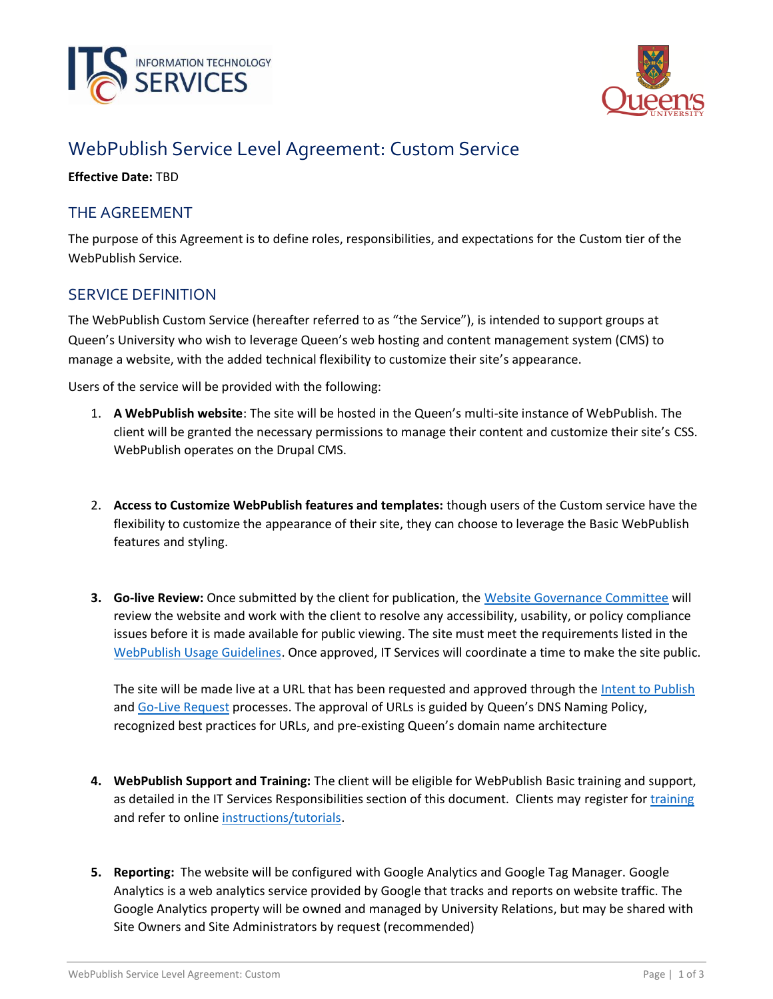



# WebPublish Service Level Agreement: Custom Service

**Effective Date:** TBD

## THE AGREEMENT

The purpose of this Agreement is to define roles, responsibilities, and expectations for the Custom tier of the WebPublish Service.

### SERVICE DEFINITION

The WebPublish Custom Service (hereafter referred to as "the Service"), is intended to support groups at Queen's University who wish to leverage Queen's web hosting and content management system (CMS) to manage a website, with the added technical flexibility to customize their site's appearance.

Users of the service will be provided with the following:

- 1. **A WebPublish website**: The site will be hosted in the Queen's multi-site instance of WebPublish. The client will be granted the necessary permissions to manage their content and customize their site's CSS. WebPublish operates on the Drupal CMS.
- 2. **Access to Customize WebPublish features and templates:** though users of the Custom service have the flexibility to customize the appearance of their site, they can choose to leverage the Basic WebPublish features and styling.
- **3. Go-live Review:** Once submitted by the client for publication, the Website [Governance Committee](https://queensu.ca/webpublish/about/governance) will review the website and work with the client to resolve any accessibility, usability, or policy compliance issues before it is made available for public viewing. The site must meet the requirements listed in the [WebPublish Usage Guidelines.](https://queensu.ca/webpublish/about/usage-guidelines) Once approved, IT Services will coordinate a time to make the site public.

The site will be made live at a URL that has been requested and approved through the [Intent to Publish](https://www.queensu.ca/webpublish/help-and-requests/request-account) and [Go-Live Request](https://www.queensu.ca/webpublish/help-and-requests/request-go-live) processes. The approval of URLs is guided by Queen's DNS Naming Policy, recognized best practices for URLs, and pre-existing Queen's domain name architecture

- **4. WebPublish Support and Training:** The client will be eligible for WebPublish Basic training and support, as detailed in the IT Services Responsibilities section of this document. Clients may register for [training](https://queensu.ca/webpublish/training) and refer to online [instructions/tutorials.](https://queensu.ca/webpublish/tutorials)
- **5. Reporting:** The website will be configured with Google Analytics and Google Tag Manager. Google Analytics is a web analytics service provided by Google that tracks and reports on website traffic. The Google Analytics property will be owned and managed by University Relations, but may be shared with Site Owners and Site Administrators by request (recommended)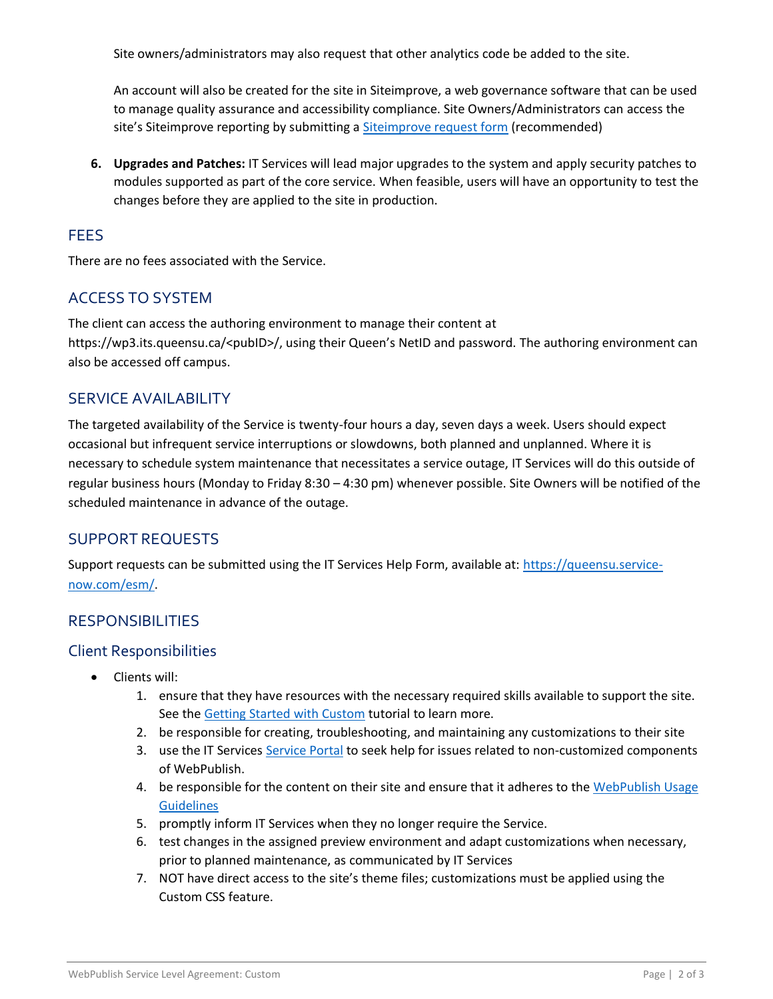Site owners/administrators may also request that other analytics code be added to the site.

An account will also be created for the site in Siteimprove, a web governance software that can be used to manage quality assurance and accessibility compliance. Site Owners/Administrators can access the site's Siteimprove reporting by submitting a [Siteimprove request form](https://queensu.service-now.com/esm/?id=sc_cat_item&sys_id=ce07c1451b3704d0f437a9fbbc4bcb8c) (recommended)

**6. Upgrades and Patches:** IT Services will lead major upgrades to the system and apply security patches to modules supported as part of the core service. When feasible, users will have an opportunity to test the changes before they are applied to the site in production.

#### **FEES**

There are no fees associated with the Service.

## ACCESS TO SYSTEM

The client can access the authoring environment to manage their content at https://wp3.its.queensu.ca/<pubID>/, using their Queen's NetID and password. The authoring environment can also be accessed off campus.

#### SERVICE AVAILABILITY

The targeted availability of the Service is twenty-four hours a day, seven days a week. Users should expect occasional but infrequent service interruptions or slowdowns, both planned and unplanned. Where it is necessary to schedule system maintenance that necessitates a service outage, IT Services will do this outside of regular business hours (Monday to Friday 8:30 – 4:30 pm) whenever possible. Site Owners will be notified of the scheduled maintenance in advance of the outage.

#### SUPPORT REQUESTS

Support requests can be submitted using the IT Services Help Form, available at: [https://queensu.service](https://queensu.service-now.com/esm/)[now.com/esm/.](https://queensu.service-now.com/esm/)

#### **RESPONSIBILITIES**

#### Client Responsibilities

- Clients will:
	- 1. ensure that they have resources with the necessary required skills available to support the site. See the [Getting Started with Custom](https://queensu.ca/webpublish/getting-started-custom) tutorial to learn more.
	- 2. be responsible for creating, troubleshooting, and maintaining any customizations to their site
	- 3. use the IT Services [Service Portal](https://queensu.service-now.com/esm/) to seek help for issues related to non-customized components of WebPublish.
	- 4. be responsible for the content on their site and ensure that it adheres to the WebPublish Usage **[Guidelines](https://queensu.ca/webpublish/about/usage-guidelines)**
	- 5. promptly inform IT Services when they no longer require the Service.
	- 6. test changes in the assigned preview environment and adapt customizations when necessary, prior to planned maintenance, as communicated by IT Services
	- 7. NOT have direct access to the site's theme files; customizations must be applied using the Custom CSS feature.